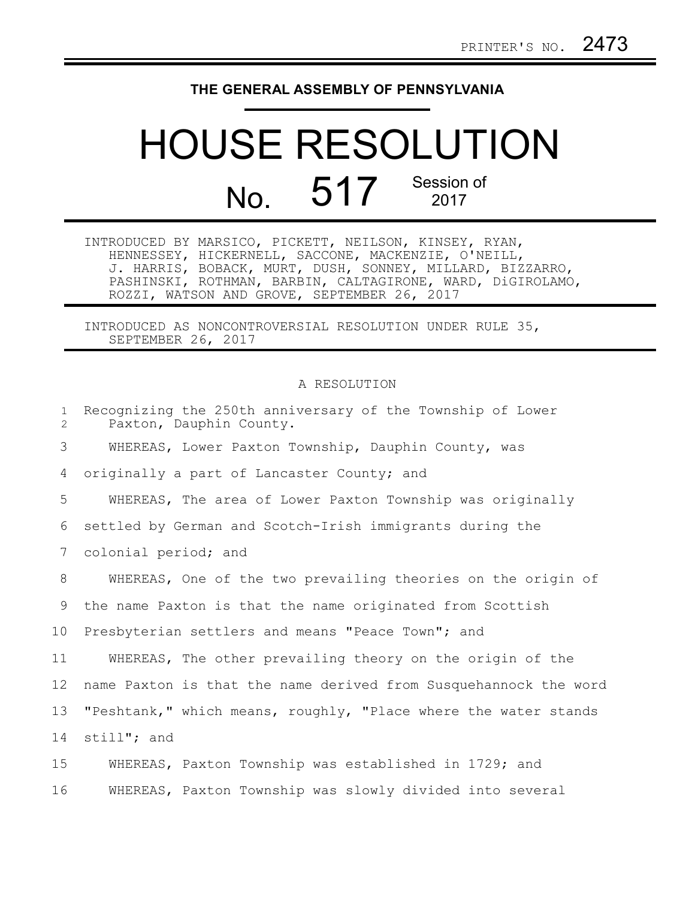## **THE GENERAL ASSEMBLY OF PENNSYLVANIA**

## HOUSE RESOLUTION No. 517 Session of

INTRODUCED BY MARSICO, PICKETT, NEILSON, KINSEY, RYAN, HENNESSEY, HICKERNELL, SACCONE, MACKENZIE, O'NEILL, J. HARRIS, BOBACK, MURT, DUSH, SONNEY, MILLARD, BIZZARRO, PASHINSKI, ROTHMAN, BARBIN, CALTAGIRONE, WARD, DiGIROLAMO, ROZZI, WATSON AND GROVE, SEPTEMBER 26, 2017

INTRODUCED AS NONCONTROVERSIAL RESOLUTION UNDER RULE 35, SEPTEMBER 26, 2017

## A RESOLUTION

| $\mathbf{1}$<br>$\overline{2}$ | Recognizing the 250th anniversary of the Township of Lower<br>Paxton, Dauphin County. |
|--------------------------------|---------------------------------------------------------------------------------------|
| 3                              | WHEREAS, Lower Paxton Township, Dauphin County, was                                   |
| 4                              | originally a part of Lancaster County; and                                            |
| 5                              | WHEREAS, The area of Lower Paxton Township was originally                             |
| 6                              | settled by German and Scotch-Irish immigrants during the                              |
| 7                              | colonial period; and                                                                  |
| 8                              | WHEREAS, One of the two prevailing theories on the origin of                          |
| 9                              | the name Paxton is that the name originated from Scottish                             |
| 10                             | Presbyterian settlers and means "Peace Town"; and                                     |
| 11                             | WHEREAS, The other prevailing theory on the origin of the                             |
| 12                             | name Paxton is that the name derived from Susquehannock the word                      |
| 13                             | "Peshtank," which means, roughly, "Place where the water stands                       |
| 14                             | still"; and                                                                           |
| 15                             | WHEREAS, Paxton Township was established in 1729; and                                 |
| 16                             | WHEREAS, Paxton Township was slowly divided into several                              |